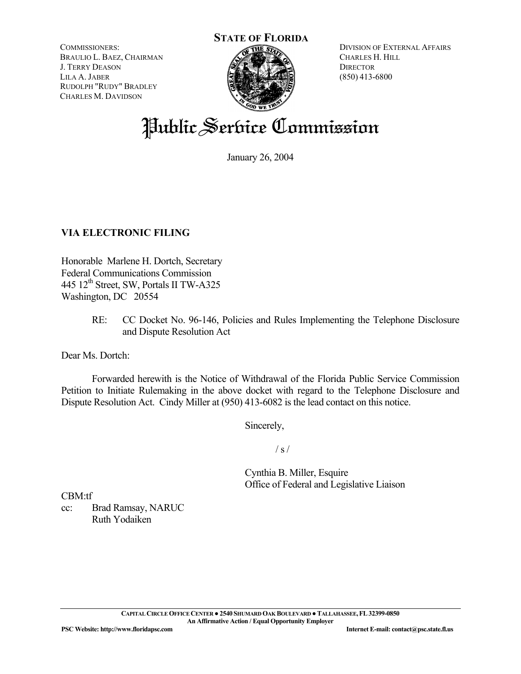**STATE OF FLORIDA**

COMMISSIONERS: BRAULIO L. BAEZ, CHAIRMAN J. TERRY DEASON LILA A. JABER RUDOLPH "RUDY" BRADLEY CHARLES M. DAVIDSON



DIVISION OF EXTERNAL AFFAIRS CHARLES H. HILL **DIRECTOR** (850) 413-6800

## Public Service Commission

January 26, 2004

## **VIA ELECTRONIC FILING**

Honorable Marlene H. Dortch, Secretary Federal Communications Commission 445  $12<sup>th</sup>$  Street, SW, Portals II TW-A325 Washington, DC 20554

> RE: CC Docket No. 96-146, Policies and Rules Implementing the Telephone Disclosure and Dispute Resolution Act

Dear Ms. Dortch:

 Forwarded herewith is the Notice of Withdrawal of the Florida Public Service Commission Petition to Initiate Rulemaking in the above docket with regard to the Telephone Disclosure and Dispute Resolution Act. Cindy Miller at (950) 413-6082 is the lead contact on this notice.

Sincerely,

 $\frac{1}{s}$  /

 Cynthia B. Miller, Esquire Office of Federal and Legislative Liaison

CBM:tf

cc: Brad Ramsay, NARUC Ruth Yodaiken